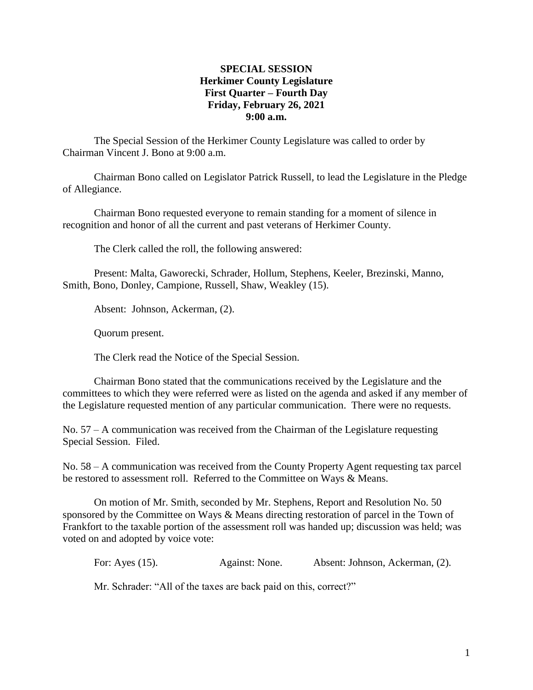## **SPECIAL SESSION Herkimer County Legislature First Quarter – Fourth Day Friday, February 26, 2021 9:00 a.m.**

The Special Session of the Herkimer County Legislature was called to order by Chairman Vincent J. Bono at 9:00 a.m.

Chairman Bono called on Legislator Patrick Russell, to lead the Legislature in the Pledge of Allegiance.

Chairman Bono requested everyone to remain standing for a moment of silence in recognition and honor of all the current and past veterans of Herkimer County.

The Clerk called the roll, the following answered:

Present: Malta, Gaworecki, Schrader, Hollum, Stephens, Keeler, Brezinski, Manno, Smith, Bono, Donley, Campione, Russell, Shaw, Weakley (15).

Absent: Johnson, Ackerman, (2).

Quorum present.

The Clerk read the Notice of the Special Session.

Chairman Bono stated that the communications received by the Legislature and the committees to which they were referred were as listed on the agenda and asked if any member of the Legislature requested mention of any particular communication. There were no requests.

No. 57 – A communication was received from the Chairman of the Legislature requesting Special Session. Filed.

No. 58 – A communication was received from the County Property Agent requesting tax parcel be restored to assessment roll. Referred to the Committee on Ways & Means.

On motion of Mr. Smith, seconded by Mr. Stephens, Report and Resolution No. 50 sponsored by the Committee on Ways & Means directing restoration of parcel in the Town of Frankfort to the taxable portion of the assessment roll was handed up; discussion was held; was voted on and adopted by voice vote:

For: Ayes (15). Against: None. Absent: Johnson, Ackerman, (2).

Mr. Schrader: "All of the taxes are back paid on this, correct?"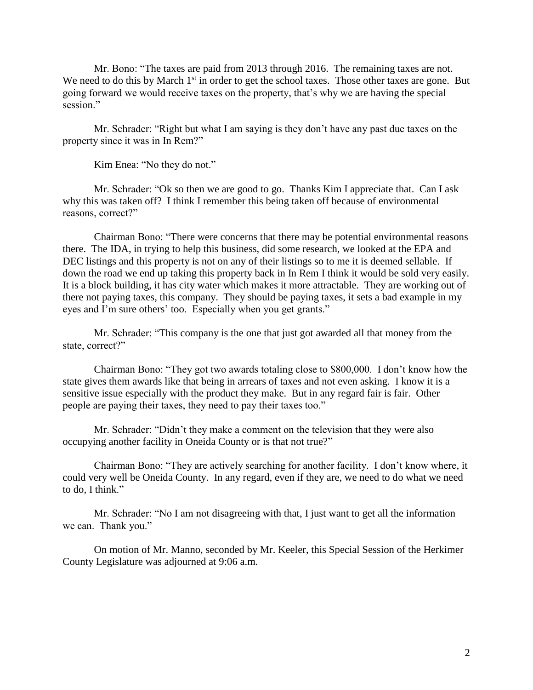Mr. Bono: "The taxes are paid from 2013 through 2016. The remaining taxes are not. We need to do this by March  $1<sup>st</sup>$  in order to get the school taxes. Those other taxes are gone. But going forward we would receive taxes on the property, that's why we are having the special session."

Mr. Schrader: "Right but what I am saying is they don't have any past due taxes on the property since it was in In Rem?"

Kim Enea: "No they do not."

Mr. Schrader: "Ok so then we are good to go. Thanks Kim I appreciate that. Can I ask why this was taken off? I think I remember this being taken off because of environmental reasons, correct?"

Chairman Bono: "There were concerns that there may be potential environmental reasons there. The IDA, in trying to help this business, did some research, we looked at the EPA and DEC listings and this property is not on any of their listings so to me it is deemed sellable. If down the road we end up taking this property back in In Rem I think it would be sold very easily. It is a block building, it has city water which makes it more attractable. They are working out of there not paying taxes, this company. They should be paying taxes, it sets a bad example in my eyes and I'm sure others' too. Especially when you get grants."

Mr. Schrader: "This company is the one that just got awarded all that money from the state, correct?"

Chairman Bono: "They got two awards totaling close to \$800,000. I don't know how the state gives them awards like that being in arrears of taxes and not even asking. I know it is a sensitive issue especially with the product they make. But in any regard fair is fair. Other people are paying their taxes, they need to pay their taxes too."

Mr. Schrader: "Didn't they make a comment on the television that they were also occupying another facility in Oneida County or is that not true?"

Chairman Bono: "They are actively searching for another facility. I don't know where, it could very well be Oneida County. In any regard, even if they are, we need to do what we need to do, I think."

Mr. Schrader: "No I am not disagreeing with that, I just want to get all the information we can. Thank you."

On motion of Mr. Manno, seconded by Mr. Keeler, this Special Session of the Herkimer County Legislature was adjourned at 9:06 a.m.